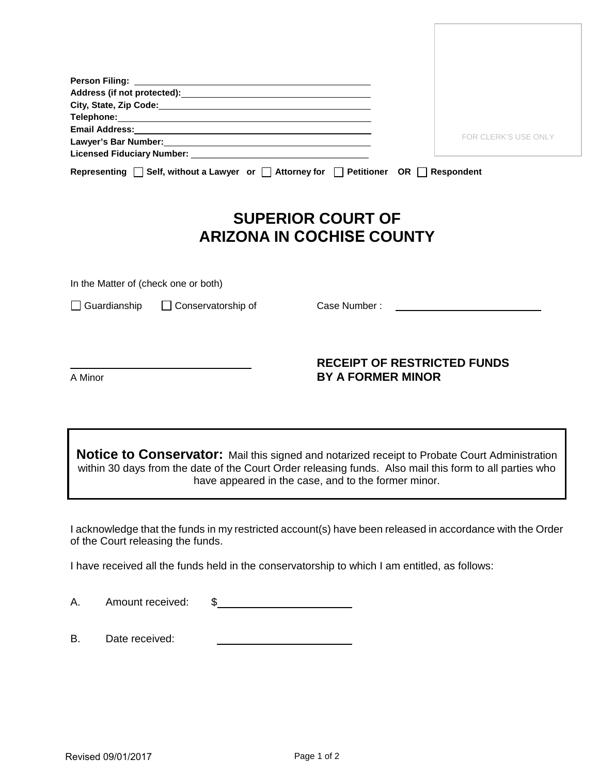|                                                                                               | <b>FOR CLERK'S USE ONLY</b> |
|-----------------------------------------------------------------------------------------------|-----------------------------|
|                                                                                               |                             |
|                                                                                               |                             |
| Representing $\Box$ Self, without a Lawyer or $\Box$ Attorney for $\Box$ Petitioner OR $\Box$ | Respondent                  |

## **SUPERIOR COURT OF ARIZONA IN COCHISE COUNTY**

In the Matter of (check one or both)

□ Guardianship □ Conservatorship of Case Number :

## **RECEIPT OF RESTRICTED FUNDS** A Minor **BY A FORMER MINOR**

**Notice to Conservator:** Mail this signed and notarized receipt to Probate Court Administration within 30 days from the date of the Court Order releasing funds. Also mail this form to all parties who have appeared in the case, and to the former minor.

I acknowledge that the funds in my restricted account(s) have been released in accordance with the Order of the Court releasing the funds.

I have received all the funds held in the conservatorship to which I am entitled, as follows:

A. Amount received: \$

B. Date received: